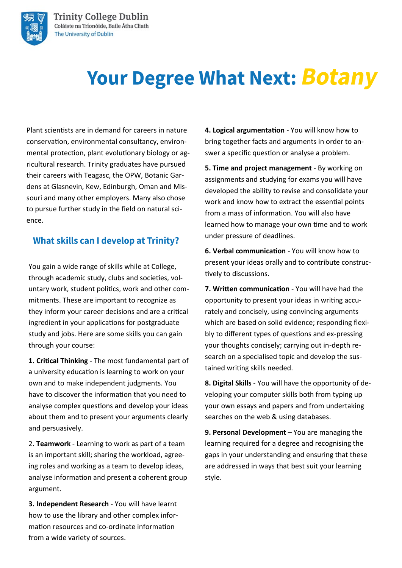

# **Your Degree What Next: Botany**

Plant scientists are in demand for careers in nature conservation, environmental consultancy, environmental protection, plant evolutionary biology or agricultural research. Trinity graduates have pursued their careers with Teagasc, the OPW, Botanic Gardens at Glasnevin, Kew, Edinburgh, Oman and Missouri and many other employers. Many also chose to pursue further study in the field on natural science.

### **What skills can I develop at Trinity?**

You gain a wide range of skills while at College, through academic study, clubs and societies, voluntary work, student politics, work and other commitments. These are important to recognize as they inform your career decisions and are a critical ingredient in your applications for postgraduate study and jobs. Here are some skills you can gain through your course:

**1. Critical Thinking** - The most fundamental part of a university education is learning to work on your own and to make independent judgments. You have to discover the information that you need to analyse complex questions and develop your ideas about them and to present your arguments clearly and persuasively.

2. **Teamwork** - Learning to work as part of a team is an important skill; sharing the workload, agreeing roles and working as a team to develop ideas, analyse information and present a coherent group argument.

**3. Independent Research** - You will have learnt how to use the library and other complex information resources and co-ordinate information from a wide variety of sources.

**4. Logical argumentation** - You will know how to bring together facts and arguments in order to answer a specific question or analyse a problem.

**5. Time and project management** - By working on assignments and studying for exams you will have developed the ability to revise and consolidate your work and know how to extract the essential points from a mass of information. You will also have learned how to manage your own time and to work under pressure of deadlines.

**6. Verbal communication** - You will know how to present your ideas orally and to contribute constructively to discussions.

**7. Written communication** - You will have had the opportunity to present your ideas in writing accurately and concisely, using convincing arguments which are based on solid evidence; responding flexibly to different types of questions and ex-pressing your thoughts concisely; carrying out in-depth research on a specialised topic and develop the sustained writing skills needed.

**8. Digital Skills** - You will have the opportunity of developing your computer skills both from typing up your own essays and papers and from undertaking searches on the web & using databases.

**9. Personal Development** – You are managing the learning required for a degree and recognising the gaps in your understanding and ensuring that these are addressed in ways that best suit your learning style.